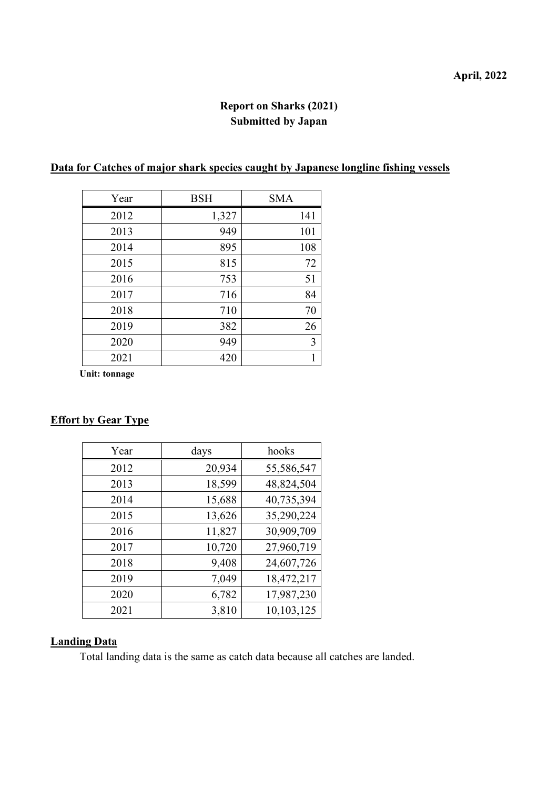### **April, 2022**

# **Report on Sharks (2021) Submitted by Japan**

# **Data for Catches of major shark species caught by Japanese longline fishing vessels**

| Year | <b>BSH</b> | <b>SMA</b> |
|------|------------|------------|
| 2012 | 1,327      | 141        |
| 2013 | 949        | 101        |
| 2014 | 895        | 108        |
| 2015 | 815        | 72         |
| 2016 | 753        | 51         |
| 2017 | 716        | 84         |
| 2018 | 710        | 70         |
| 2019 | 382        | 26         |
| 2020 | 949        | 3          |
| 2021 | 420        | 1          |

**Unit: tonnage**

# **Effort by Gear Type**

| Year | days   | hooks      |
|------|--------|------------|
| 2012 | 20,934 | 55,586,547 |
| 2013 | 18,599 | 48,824,504 |
| 2014 | 15,688 | 40,735,394 |
| 2015 | 13,626 | 35,290,224 |
| 2016 | 11,827 | 30,909,709 |
| 2017 | 10,720 | 27,960,719 |
| 2018 | 9,408  | 24,607,726 |
| 2019 | 7,049  | 18,472,217 |
| 2020 | 6,782  | 17,987,230 |
| 2021 | 3,810  | 10,103,125 |

### **Landing Data**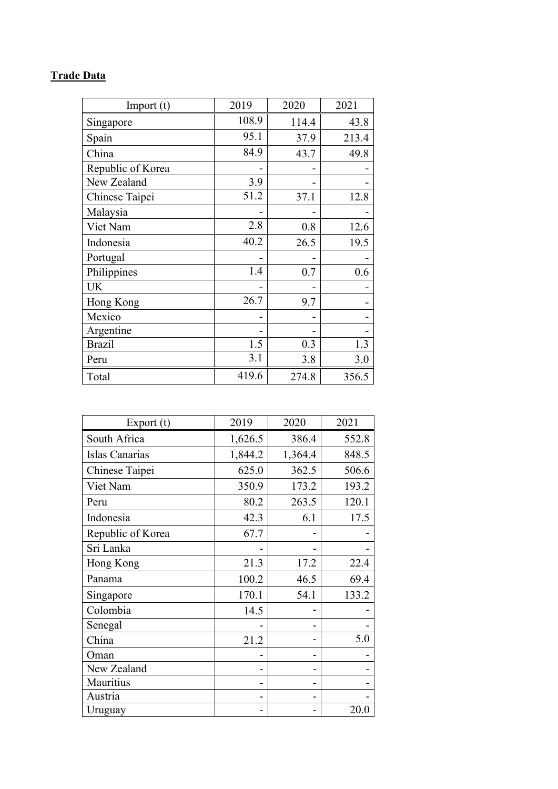| Import(t)         | 2019  | 2020  | 2021  |
|-------------------|-------|-------|-------|
| Singapore         | 108.9 | 114.4 | 43.8  |
| Spain             | 95.1  | 37.9  | 213.4 |
| China             | 84.9  | 43.7  | 49.8  |
| Republic of Korea |       |       |       |
| New Zealand       | 3.9   |       |       |
| Chinese Taipei    | 51.2  | 37.1  | 12.8  |
| Malaysia          |       |       |       |
| Viet Nam          | 2.8   | 0.8   | 12.6  |
| Indonesia         | 40.2  | 26.5  | 19.5  |
| Portugal          |       |       |       |
| Philippines       | 1.4   | 0.7   | 0.6   |
| <b>UK</b>         |       |       |       |
| Hong Kong         | 26.7  | 9.7   |       |
| Mexico            |       |       |       |
| Argentine         |       |       |       |
| <b>Brazil</b>     | 1.5   | 0.3   | 1.3   |
| Peru              | 3.1   | 3.8   | 3.0   |
| Total             | 419.6 | 274.8 | 356.5 |

| Export $(t)$      | 2019    | 2020    | 2021  |
|-------------------|---------|---------|-------|
| South Africa      | 1,626.5 | 386.4   | 552.8 |
| Islas Canarias    | 1,844.2 | 1,364.4 | 848.5 |
| Chinese Taipei    | 625.0   | 362.5   | 506.6 |
| Viet Nam          | 350.9   | 173.2   | 193.2 |
| Peru              | 80.2    | 263.5   | 120.1 |
| Indonesia         | 42.3    | 6.1     | 17.5  |
| Republic of Korea | 67.7    |         |       |
| Sri Lanka         |         |         |       |
| Hong Kong         | 21.3    | 17.2    | 22.4  |
| Panama            | 100.2   | 46.5    | 69.4  |
| Singapore         | 170.1   | 54.1    | 133.2 |
| Colombia          | 14.5    |         |       |
| Senegal           |         |         |       |
| China             | 21.2    |         | 5.0   |
| Oman              |         |         |       |
| New Zealand       |         |         |       |
| Mauritius         |         |         |       |
| Austria           |         |         |       |
| Uruguay           |         |         | 20.0  |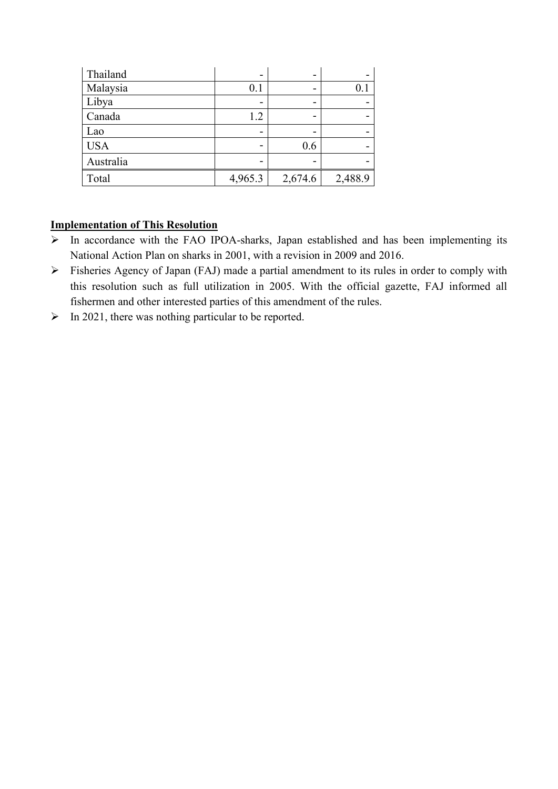| Thailand   | -       | -       |         |
|------------|---------|---------|---------|
| Malaysia   | 0.1     | -       |         |
| Libya      | -       | -       |         |
| Canada     | 1.2     |         |         |
| Lao        | -       | -       |         |
| <b>USA</b> | -       | 0.6     |         |
| Australia  | -       |         |         |
| Total      | 4,965.3 | 2,674.6 | 2,488.9 |

- $\triangleright$  In accordance with the FAO IPOA-sharks, Japan established and has been implementing its National Action Plan on sharks in 2001, with a revision in 2009 and 2016.
- $\triangleright$  Fisheries Agency of Japan (FAJ) made a partial amendment to its rules in order to comply with this resolution such as full utilization in 2005. With the official gazette, FAJ informed all fishermen and other interested parties of this amendment of the rules.
- $\triangleright$  In 2021, there was nothing particular to be reported.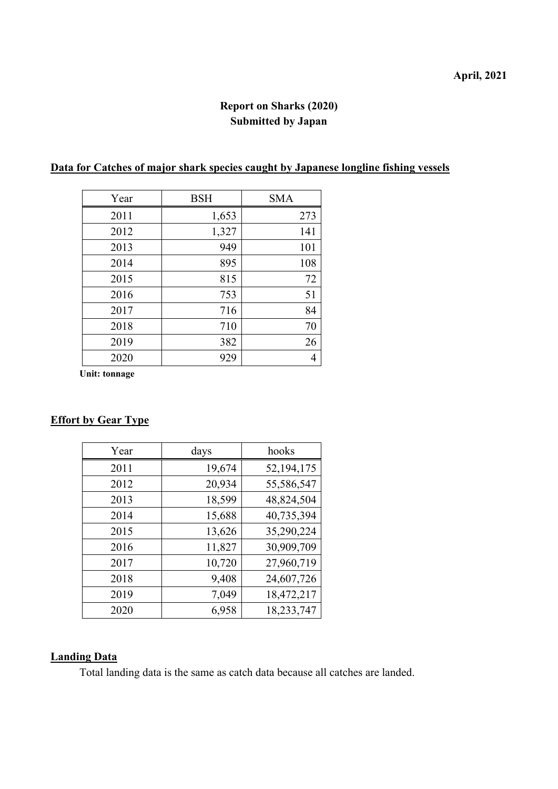### **April, 2021**

# **Report on Sharks (2020) Submitted by Japan**

### **Data for Catches of major shark species caught by Japanese longline fishing vessels**

| Year | <b>BSH</b> | <b>SMA</b> |
|------|------------|------------|
| 2011 | 1,653      | 273        |
| 2012 | 1,327      | 141        |
| 2013 | 949        | 101        |
| 2014 | 895        | 108        |
| 2015 | 815        | 72         |
| 2016 | 753        | 51         |
| 2017 | 716        | 84         |
| 2018 | 710        | 70         |
| 2019 | 382        | 26         |
| 2020 | 929        | 4          |

**Unit: tonnage**

# **Effort by Gear Type**

| Year | days   | hooks      |
|------|--------|------------|
| 2011 | 19,674 | 52,194,175 |
| 2012 | 20,934 | 55,586,547 |
| 2013 | 18,599 | 48,824,504 |
| 2014 | 15,688 | 40,735,394 |
| 2015 | 13,626 | 35,290,224 |
| 2016 | 11,827 | 30,909,709 |
| 2017 | 10,720 | 27,960,719 |
| 2018 | 9,408  | 24,607,726 |
| 2019 | 7,049  | 18,472,217 |
| 2020 | 6,958  | 18,233,747 |

# **Landing Data**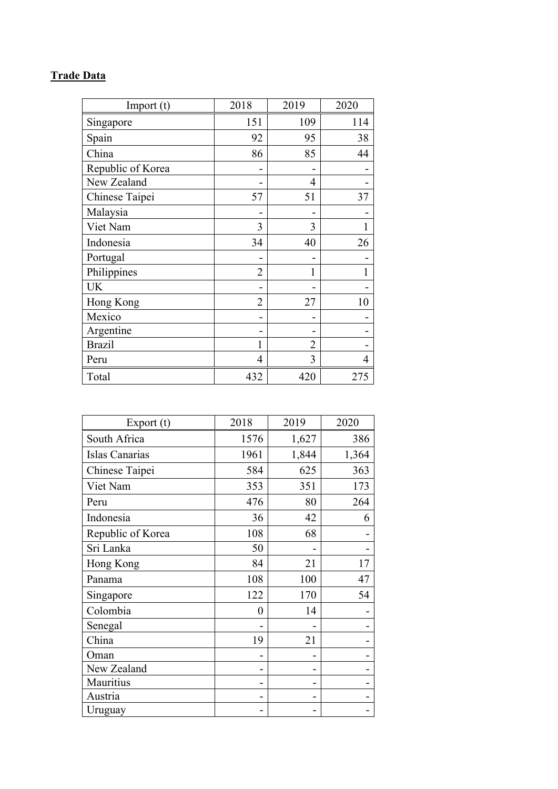| Import(t)         | 2018           | 2019           | 2020 |
|-------------------|----------------|----------------|------|
| Singapore         | 151            | 109            | 114  |
| Spain             | 92             | 95             | 38   |
| China             | 86             | 85             | 44   |
| Republic of Korea |                |                |      |
| New Zealand       |                | $\overline{4}$ |      |
| Chinese Taipei    | 57             | 51             | 37   |
| Malaysia          |                |                |      |
| Viet Nam          | 3              | 3              | 1    |
| Indonesia         | 34             | 40             | 26   |
| Portugal          |                |                |      |
| Philippines       | $\overline{2}$ | 1              | 1    |
| <b>UK</b>         |                |                |      |
| Hong Kong         | $\overline{2}$ | 27             | 10   |
| Mexico            |                |                |      |
| Argentine         |                |                |      |
| <b>Brazil</b>     | 1              | $\overline{2}$ |      |
| Peru              | 4              | 3              | 4    |
| Total             | 432            | 420            | 275  |

| Export $(t)$      | 2018           | 2019  | 2020  |
|-------------------|----------------|-------|-------|
| South Africa      | 1576           | 1,627 | 386   |
| Islas Canarias    | 1961           | 1,844 | 1,364 |
| Chinese Taipei    | 584            | 625   | 363   |
| Viet Nam          | 353            | 351   | 173   |
| Peru              | 476            | 80    | 264   |
| Indonesia         | 36             | 42    | 6     |
| Republic of Korea | 108            | 68    |       |
| Sri Lanka         | 50             |       |       |
| Hong Kong         | 84             | 21    | 17    |
| Panama            | 108            | 100   | 47    |
| Singapore         | 122            | 170   | 54    |
| Colombia          | $\overline{0}$ | 14    |       |
| Senegal           |                |       |       |
| China             | 19             | 21    |       |
| Oman              |                |       |       |
| New Zealand       |                |       |       |
| Mauritius         |                |       |       |
| Austria           |                |       |       |
| Uruguay           |                |       |       |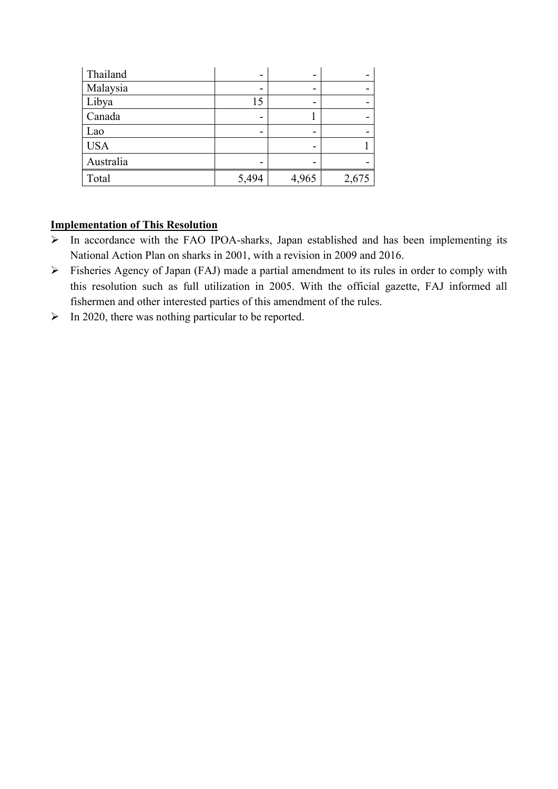| Thailand   |       | -     |       |
|------------|-------|-------|-------|
| Malaysia   |       |       |       |
| Libya      | 15    | -     |       |
| Canada     |       |       |       |
| Lao        |       |       |       |
| <b>USA</b> |       |       |       |
| Australia  |       |       |       |
| Total      | 5,494 | 4,965 | 2,675 |

- $\triangleright$  In accordance with the FAO IPOA-sharks, Japan established and has been implementing its National Action Plan on sharks in 2001, with a revision in 2009 and 2016.
- $\triangleright$  Fisheries Agency of Japan (FAJ) made a partial amendment to its rules in order to comply with this resolution such as full utilization in 2005. With the official gazette, FAJ informed all fishermen and other interested parties of this amendment of the rules.
- $\triangleright$  In 2020, there was nothing particular to be reported.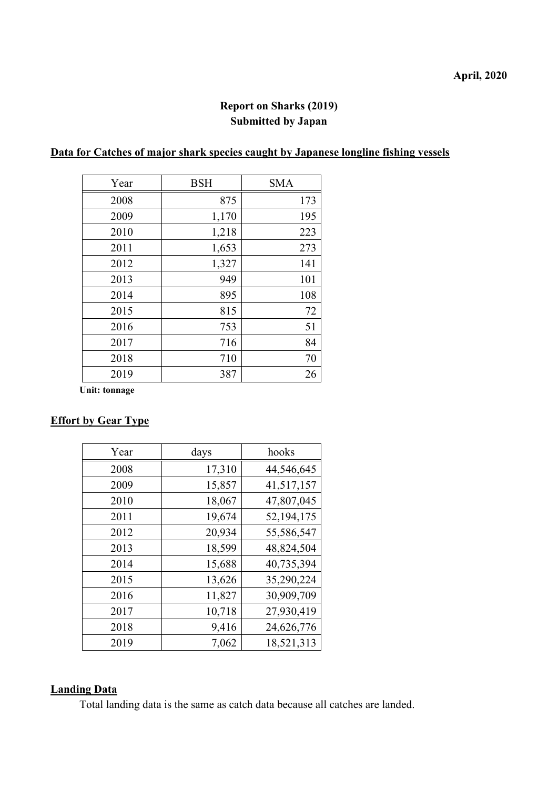# **Report on Sharks (2019) Submitted by Japan**

# **Data for Catches of major shark species caught by Japanese longline fishing vessels**

| Year | <b>BSH</b> | <b>SMA</b> |
|------|------------|------------|
| 2008 | 875        | 173        |
| 2009 | 1,170      | 195        |
| 2010 | 1,218      | 223        |
| 2011 | 1,653      | 273        |
| 2012 | 1,327      | 141        |
| 2013 | 949        | 101        |
| 2014 | 895        | 108        |
| 2015 | 815        | 72         |
| 2016 | 753        | 51         |
| 2017 | 716        | 84         |
| 2018 | 710        | 70         |
| 2019 | 387        | 26         |

**Unit: tonnage**

### **Effort by Gear Type**

| Year | days   | hooks      |
|------|--------|------------|
| 2008 | 17,310 | 44,546,645 |
| 2009 | 15,857 | 41,517,157 |
| 2010 | 18,067 | 47,807,045 |
| 2011 | 19,674 | 52,194,175 |
| 2012 | 20,934 | 55,586,547 |
| 2013 | 18,599 | 48,824,504 |
| 2014 | 15,688 | 40,735,394 |
| 2015 | 13,626 | 35,290,224 |
| 2016 | 11,827 | 30,909,709 |
| 2017 | 10,718 | 27,930,419 |
| 2018 | 9,416  | 24,626,776 |
| 2019 | 7,062  | 18,521,313 |

#### **Landing Data**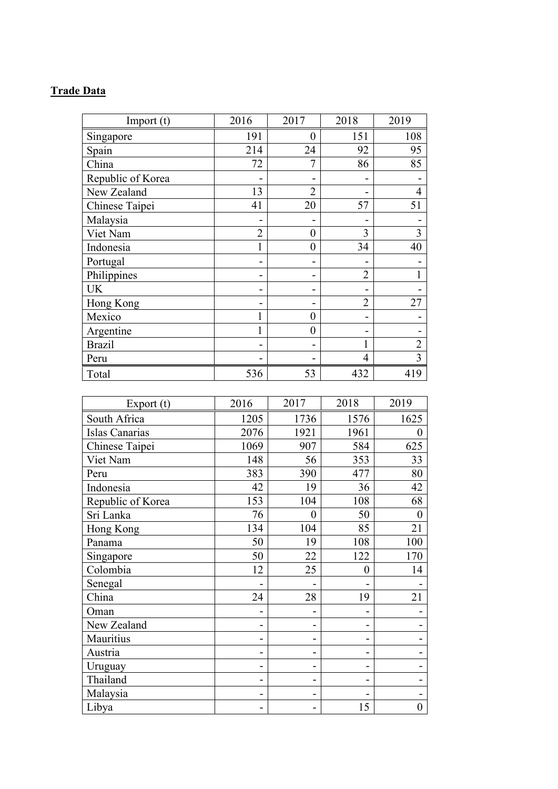| Import $(t)$      | 2016           | 2017             | 2018           | 2019           |
|-------------------|----------------|------------------|----------------|----------------|
| Singapore         | 191            | $\overline{0}$   | 151            | 108            |
| Spain             | 214            | 24               | 92             | 95             |
| China             | 72             | 7                | 86             | 85             |
| Republic of Korea |                |                  |                |                |
| New Zealand       | 13             | $\overline{2}$   |                | 4              |
| Chinese Taipei    | 41             | 20               | 57             | 51             |
| Malaysia          |                | -                |                |                |
| Viet Nam          | $\overline{2}$ | $\boldsymbol{0}$ | 3              | 3              |
| Indonesia         | 1              | $\boldsymbol{0}$ | 34             | 40             |
| Portugal          |                |                  |                |                |
| Philippines       |                |                  | $\overline{2}$ |                |
| <b>UK</b>         |                | -                |                |                |
| Hong Kong         |                | -                | $\overline{2}$ | 27             |
| Mexico            | 1              | $\overline{0}$   |                |                |
| Argentine         | 1              | $\boldsymbol{0}$ |                |                |
| <b>Brazil</b>     |                |                  |                | $\overline{2}$ |
| Peru              |                |                  | 4              | 3              |
| Total             | 536            | 53               | 432            | 419            |

| Export $(t)$      | 2016 | 2017           | 2018           | 2019           |
|-------------------|------|----------------|----------------|----------------|
| South Africa      | 1205 | 1736           | 1576           | 1625           |
| Islas Canarias    | 2076 | 1921           | 1961           | $\theta$       |
| Chinese Taipei    | 1069 | 907            | 584            | 625            |
| Viet Nam          | 148  | 56             | 353            | 33             |
| Peru              | 383  | 390            | 477            | 80             |
| Indonesia         | 42   | 19             | 36             | 42             |
| Republic of Korea | 153  | 104            | 108            | 68             |
| Sri Lanka         | 76   | $\overline{0}$ | 50             | $\theta$       |
| Hong Kong         | 134  | 104            | 85             | 21             |
| Panama            | 50   | 19             | 108            | 100            |
| Singapore         | 50   | 22             | 122            | 170            |
| Colombia          | 12   | 25             | $\overline{0}$ | 14             |
| Senegal           |      |                |                |                |
| China             | 24   | 28             | 19             | 21             |
| Oman              |      | -              |                |                |
| New Zealand       |      | -              |                |                |
| Mauritius         |      | -              |                |                |
| Austria           |      | -              |                |                |
| Uruguay           |      | -              |                |                |
| Thailand          |      | -              |                |                |
| Malaysia          |      | -              |                |                |
| Libya             |      | -              | 15             | $\overline{0}$ |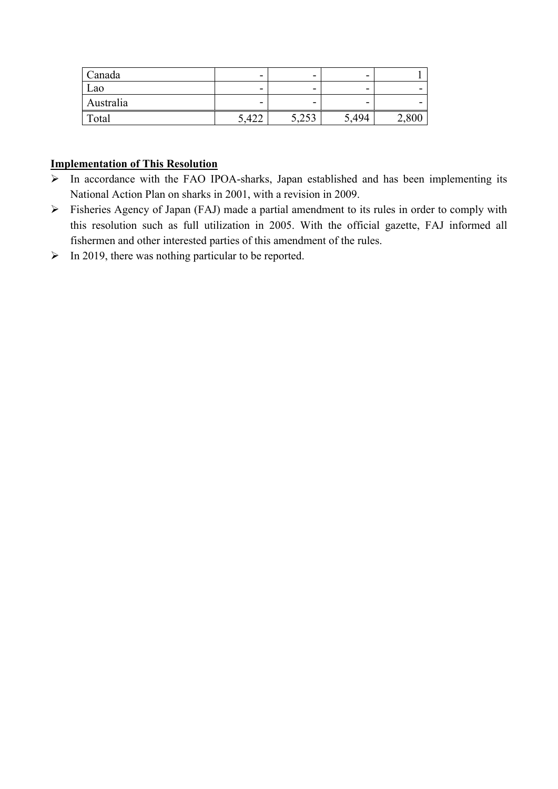| Canada    | $\overline{\phantom{0}}$ | -                         | -     |  |
|-----------|--------------------------|---------------------------|-------|--|
| Lao       | -                        | -                         | -     |  |
| Australia | -                        | -                         | -     |  |
| Total     | 177                      | $\cap$ $\subset$<br>ر ر∠د | 5.494 |  |

- $\triangleright$  In accordance with the FAO IPOA-sharks, Japan established and has been implementing its National Action Plan on sharks in 2001, with a revision in 2009.
- Fisheries Agency of Japan (FAJ) made a partial amendment to its rules in order to comply with this resolution such as full utilization in 2005. With the official gazette, FAJ informed all fishermen and other interested parties of this amendment of the rules.
- $\triangleright$  In 2019, there was nothing particular to be reported.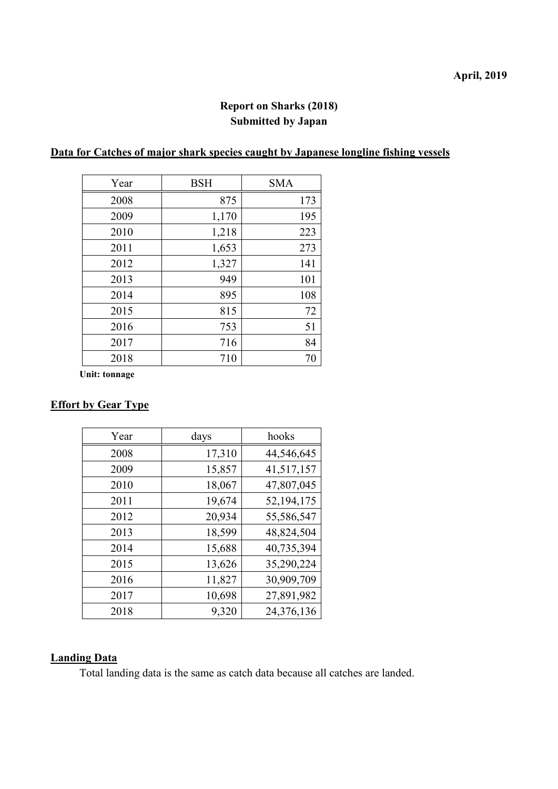# **Report on Sharks (2018) Submitted by Japan**

# **Data for Catches of major shark species caught by Japanese longline fishing vessels**

| Year | <b>BSH</b> | <b>SMA</b> |
|------|------------|------------|
| 2008 | 875        | 173        |
| 2009 | 1,170      | 195        |
| 2010 | 1,218      | 223        |
| 2011 | 1,653      | 273        |
| 2012 | 1,327      | 141        |
| 2013 | 949        | 101        |
| 2014 | 895        | 108        |
| 2015 | 815        | 72         |
| 2016 | 753        | 51         |
| 2017 | 716        | 84         |
| 2018 | 710        | 70         |

**Unit: tonnage**

### **Effort by Gear Type**

| Year | days   | hooks      |
|------|--------|------------|
| 2008 | 17,310 | 44,546,645 |
| 2009 | 15,857 | 41,517,157 |
| 2010 | 18,067 | 47,807,045 |
| 2011 | 19,674 | 52,194,175 |
| 2012 | 20,934 | 55,586,547 |
| 2013 | 18,599 | 48,824,504 |
| 2014 | 15,688 | 40,735,394 |
| 2015 | 13,626 | 35,290,224 |
| 2016 | 11,827 | 30,909,709 |
| 2017 | 10,698 | 27,891,982 |
| 2018 | 9,320  | 24,376,136 |

## **Landing Data**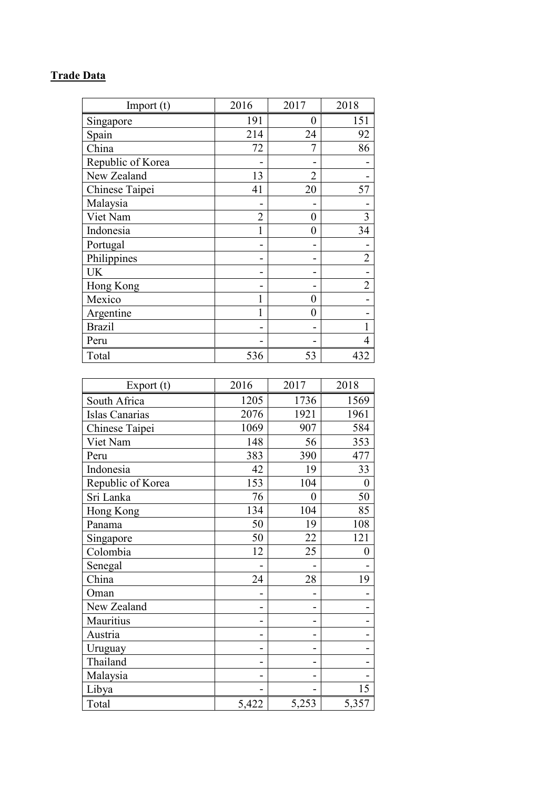| Import(t)         | 2016           | 2017           | 2018           |
|-------------------|----------------|----------------|----------------|
| Singapore         | 191            | $\overline{0}$ | 151            |
| Spain             | 214            | 24             | 92             |
| China             | 72             |                | 86             |
| Republic of Korea |                |                |                |
| New Zealand       | 13             | 2              |                |
| Chinese Taipei    | 41             | 20             | 57             |
| Malaysia          |                |                |                |
| Viet Nam          | $\overline{2}$ | $\overline{0}$ | 3              |
| Indonesia         |                | 0              | 34             |
| Portugal          |                |                |                |
| Philippines       |                |                | $\overline{2}$ |
| <b>UK</b>         |                |                |                |
| Hong Kong         |                |                | $\overline{2}$ |
| Mexico            |                | 0              |                |
| Argentine         |                | 0              |                |
| <b>Brazil</b>     |                |                |                |
| Peru              |                |                | 4              |
| Total             | 536            | 53             | 432            |

| Export (t)        | 2016  | 2017  | 2018           |
|-------------------|-------|-------|----------------|
| South Africa      | 1205  | 1736  | 1569           |
| Islas Canarias    | 2076  | 1921  | 1961           |
| Chinese Taipei    | 1069  | 907   | 584            |
| Viet Nam          | 148   | 56    | 353            |
| Peru              | 383   | 390   | 477            |
| Indonesia         | 42    | 19    | 33             |
| Republic of Korea | 153   | 104   | $\overline{0}$ |
| Sri Lanka         | 76    | 0     | 50             |
| Hong Kong         | 134   | 104   | 85             |
| Panama            | 50    | 19    | 108            |
| Singapore         | 50    | 22    | 121            |
| Colombia          | 12    | 25    | 0              |
| Senegal           |       |       |                |
| China             | 24    | 28    | 19             |
| Oman              |       |       |                |
| New Zealand       | -     |       |                |
| Mauritius         | -     |       |                |
| Austria           | -     |       |                |
| Uruguay           |       |       |                |
| Thailand          | -     |       |                |
| Malaysia          |       |       |                |
| Libya             |       |       | 15             |
| Total             | 5,422 | 5,253 | 5,357          |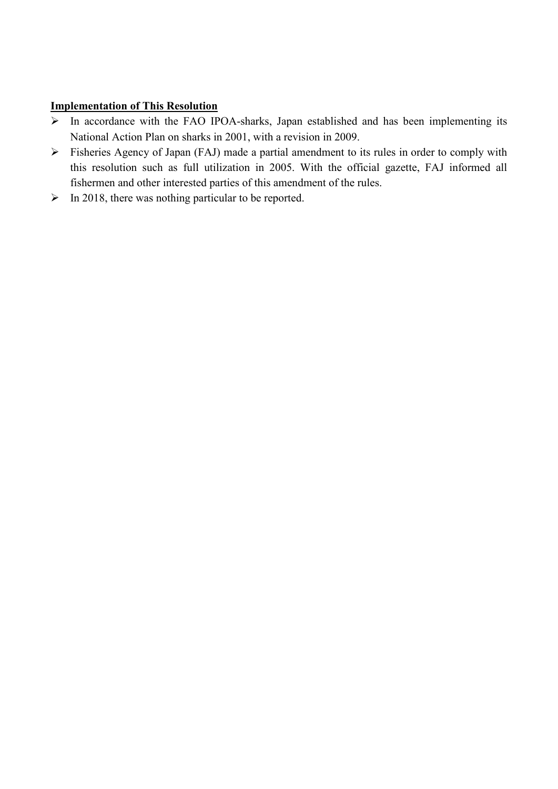- $\triangleright$  In accordance with the FAO IPOA-sharks, Japan established and has been implementing its National Action Plan on sharks in 2001, with a revision in 2009.
- Fisheries Agency of Japan (FAJ) made a partial amendment to its rules in order to comply with this resolution such as full utilization in 2005. With the official gazette, FAJ informed all fishermen and other interested parties of this amendment of the rules.
- $\triangleright$  In 2018, there was nothing particular to be reported.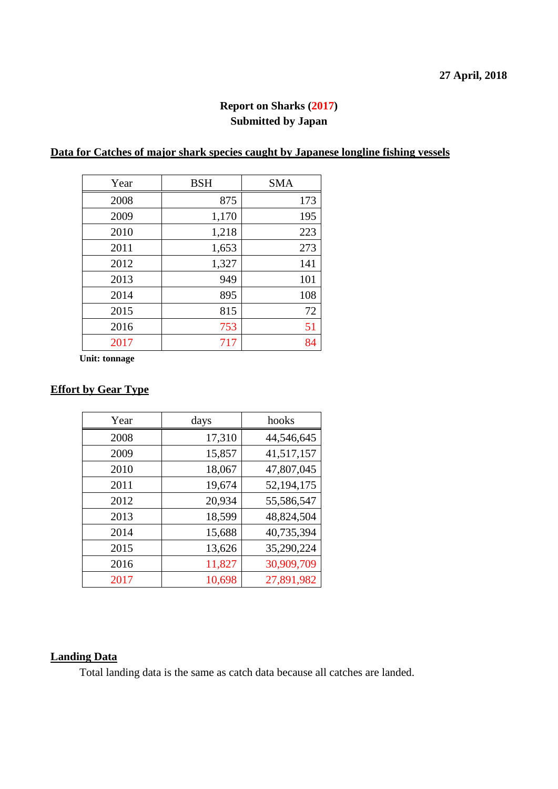# **Report on Sharks (2017) Submitted by Japan**

### **Data for Catches of major shark species caught by Japanese longline fishing vessels**

| Year | <b>BSH</b> | <b>SMA</b> |
|------|------------|------------|
| 2008 | 875        | 173        |
| 2009 | 1,170      | 195        |
| 2010 | 1,218      | 223        |
| 2011 | 1,653      | 273        |
| 2012 | 1,327      | 141        |
| 2013 | 949        | 101        |
| 2014 | 895        | 108        |
| 2015 | 815        | 72         |
| 2016 | 753        | 51         |
| 2017 | 717        | 84         |

**Unit: tonnage**

# **Effort by Gear Type**

| Year | days   | hooks      |
|------|--------|------------|
| 2008 | 17,310 | 44,546,645 |
| 2009 | 15,857 | 41,517,157 |
| 2010 | 18,067 | 47,807,045 |
| 2011 | 19,674 | 52,194,175 |
| 2012 | 20,934 | 55,586,547 |
| 2013 | 18,599 | 48,824,504 |
| 2014 | 15,688 | 40,735,394 |
| 2015 | 13,626 | 35,290,224 |
| 2016 | 11,827 | 30,909,709 |
| 2017 | 10,698 | 27,891,982 |

# **Landing Data**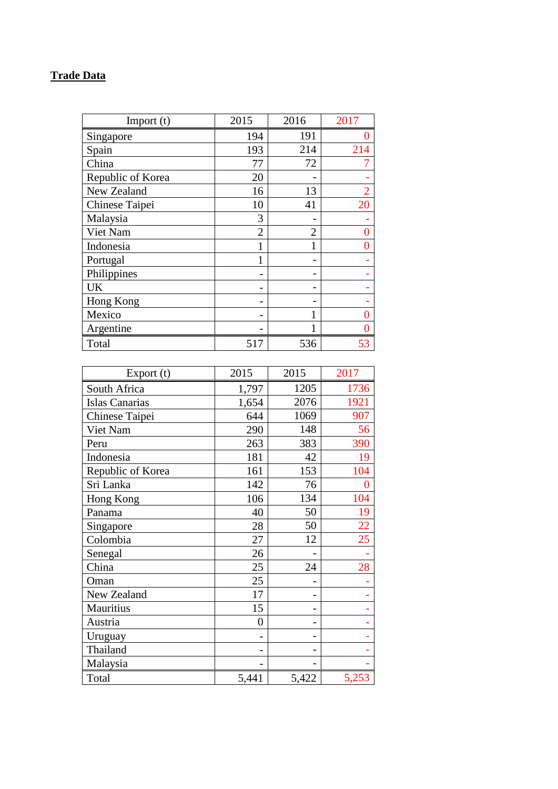| Import(t)         | 2015           | 2016           | 2017           |
|-------------------|----------------|----------------|----------------|
| Singapore         | 194            | 191            |                |
| Spain             | 193            | 214            | 214            |
| China             | 77             | 72             |                |
| Republic of Korea | 20             |                |                |
| New Zealand       | 16             | 13             | $\overline{2}$ |
| Chinese Taipei    | 10             | 41             | 20             |
| Malaysia          | 3              |                |                |
| Viet Nam          | $\overline{2}$ | $\overline{2}$ |                |
| Indonesia         |                |                |                |
| Portugal          |                |                |                |
| Philippines       |                |                |                |
| <b>UK</b>         |                |                |                |
| Hong Kong         |                |                |                |
| Mexico            |                |                |                |
| Argentine         |                |                |                |
| Total             | 517            | 536            | 53             |

| Export $(t)$      | 2015  | 2015           | 2017  |
|-------------------|-------|----------------|-------|
| South Africa      | 1,797 | 1205           | 1736  |
| Islas Canarias    | 1,654 | 2076           | 1921  |
| Chinese Taipei    | 644   | 1069           | 907   |
| Viet Nam          | 290   | 148            | 56    |
| Peru              | 263   | 383            | 390   |
| Indonesia         | 181   | 42             | 19    |
| Republic of Korea | 161   | 153            | 104   |
| Sri Lanka         | 142   | 76             | 0     |
| Hong Kong         | 106   | 134            | 104   |
| Panama            | 40    | 50             | 19    |
| Singapore         | 28    | 50             | 22    |
| Colombia          | 27    | 12             | 25    |
| Senegal           | 26    |                |       |
| China             | 25    | 24             | 28    |
| Oman              | 25    |                |       |
| New Zealand       | 17    |                |       |
| Mauritius         | 15    |                |       |
| Austria           | 0     | $\overline{a}$ |       |
| Uruguay           |       |                |       |
| Thailand          |       |                |       |
| Malaysia          |       |                |       |
| Total             | 5,441 | 5,422          | 5,253 |